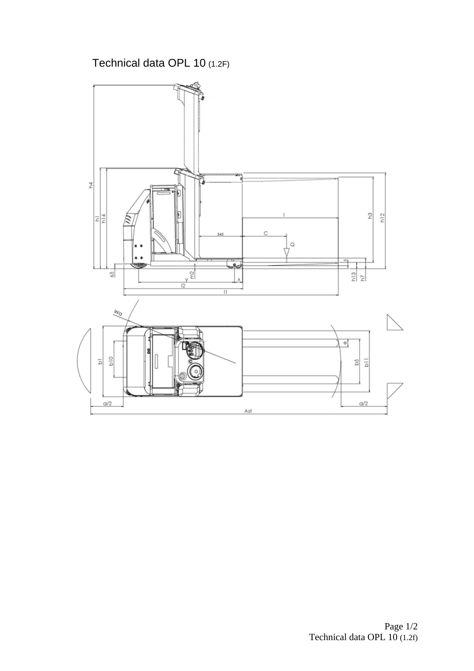Technical data OPL 10 (1.2F)

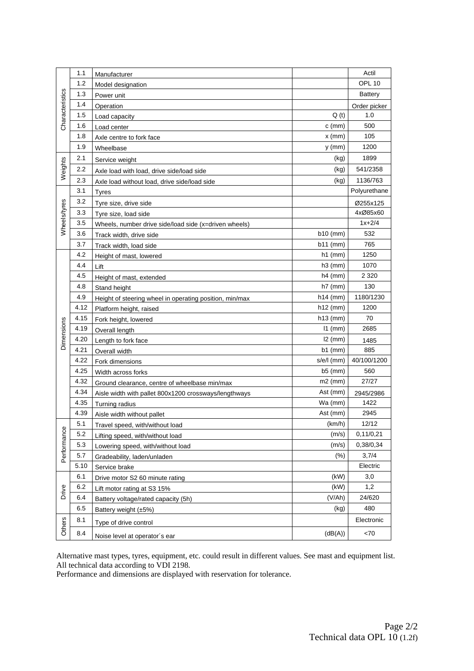|                   | 1.1  | Manufacturer                                            |            | Actil          |
|-------------------|------|---------------------------------------------------------|------------|----------------|
|                   | 1.2  | Model designation                                       |            | OPL 10         |
|                   | 1.3  | Power unit                                              |            | <b>Battery</b> |
| Characteristics   | 1.4  | Operation                                               |            | Order picker   |
|                   | 1.5  | Load capacity                                           | Q(t)       | 1.0            |
|                   | 1.6  | Load center                                             | $c$ (mm)   | 500            |
|                   | 1.8  | Axle centre to fork face                                | $x$ (mm)   | 105            |
|                   | 1.9  | Wheelbase                                               | $y$ (mm)   | 1200           |
| Weights           | 2.1  |                                                         | (kg)       | 1899           |
|                   | 2.2  | Service weight                                          | (kg)       | 541/2358       |
|                   | 2.3  | Axle load with load, drive side/load side               | (kg)       | 1136/763       |
|                   | 3.1  | Axle load without load, drive side/load side            |            | Polyurethane   |
|                   | 3.2  | Tyres                                                   |            |                |
| Wheels/tyres      |      | Tyre size, drive side                                   |            | Ø255x125       |
|                   | 3.3  | Tyre size, load side                                    |            | 4xØ85x60       |
|                   | 3.5  | Wheels, number drive side/load side (x=driven wheels)   |            | $1x + 2/4$     |
|                   | 3.6  | Track width, drive side                                 | $b10$ (mm) | 532            |
|                   | 3.7  | Track width, load side                                  | b11 (mm)   | 765            |
|                   | 4.2  | Height of mast, lowered                                 | $h1$ (mm)  | 1250           |
|                   | 4.4  | Lift                                                    | $h3$ (mm)  | 1070           |
|                   | 4.5  | Height of mast, extended                                | $h4$ (mm)  | 2 3 2 0        |
|                   | 4.8  | Stand height                                            | $h7$ (mm)  | 130            |
|                   | 4.9  | Height of steering wheel in operating position, min/max | $h14$ (mm) | 1180/1230      |
|                   | 4.12 | Platform height, raised                                 | $h12$ (mm) | 1200           |
|                   | 4.15 | Fork height, lowered                                    | $h13$ (mm) | 70             |
|                   | 4.19 | Overall length                                          | $11$ (mm)  | 2685           |
| <b>Dimensions</b> | 4.20 | Length to fork face                                     | $l2$ (mm)  | 1485           |
|                   | 4.21 | Overall width                                           | $b1$ (mm)  | 885            |
|                   | 4.22 | Fork dimensions                                         | s/e/l (mm) | 40/100/1200    |
|                   | 4.25 | Width across forks                                      | $b5$ (mm)  | 560            |
|                   | 4.32 | Ground clearance, centre of wheelbase min/max           | $m2$ (mm)  | 27/27          |
|                   | 4.34 | Aisle width with pallet 800x1200 crossways/lengthways   | Ast (mm)   | 2945/2986      |
|                   | 4.35 | Turning radius                                          | Wa (mm)    | 1422           |
|                   | 4.39 | Aisle width without pallet                              | Ast (mm)   | 2945           |
|                   | 5.1  | Travel speed, with/without load                         | (km/h)     | 12/12          |
|                   | 5.2  | Lifting speed, with/without load                        | (m/s)      | 0,11/0,21      |
| Performance       | 5.3  | Lowering speed, with/without load                       | (m/s)      | 0,38/0,34      |
|                   | 5.7  | Gradeability, laden/unladen                             | (% )       | 3,7/4          |
|                   | 5.10 | Service brake                                           |            | Electric       |
|                   | 6.1  | Drive motor S2 60 minute rating                         | (kW)       | 3,0            |
| Drive             | 6.2  | Lift motor rating at S3 15%                             | (kW)       | 1,2            |
|                   | 6.4  | Battery voltage/rated capacity (5h)                     | (V/Ah)     | 24/620         |
|                   | 6.5  | Battery weight $(\pm 5\%)$                              | (kg)       | 480            |
| Others            | 8.1  | Type of drive control                                   |            | Electronic     |
|                   | 8.4  | Noise level at operator's ear                           | (dB(A))    | < 70           |

Alternative mast types, tyres, equipment, etc. could result in different values. See mast and equipment list. All technical data according to VDI 2198.

Performance and dimensions are displayed with reservation for tolerance.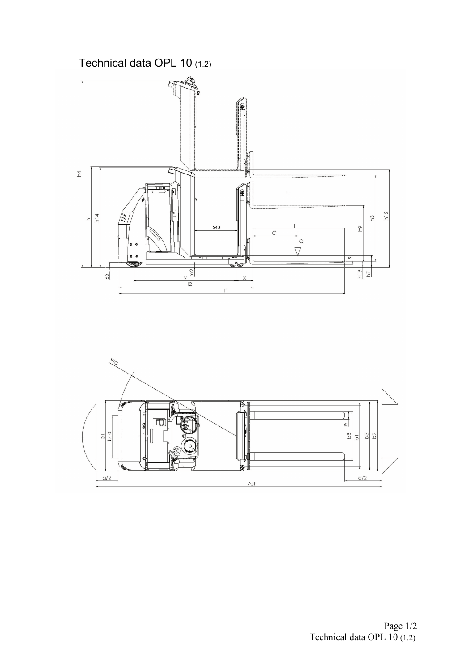



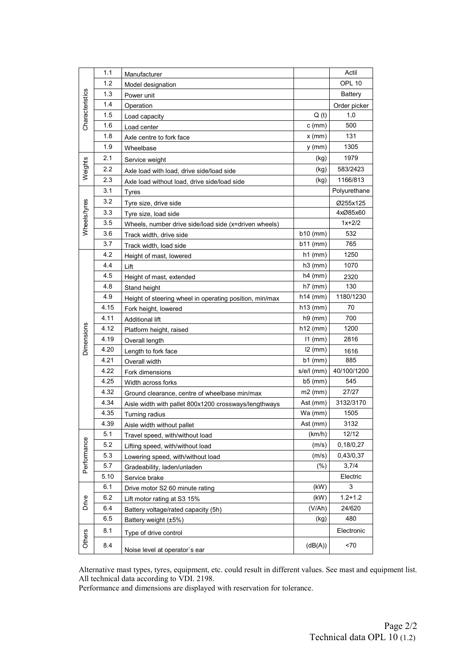| Characteristics   | 1.1  | Manufacturer                                            |              | Actil          |
|-------------------|------|---------------------------------------------------------|--------------|----------------|
|                   | 1.2  | Model designation                                       |              | OPL 10         |
|                   | 1.3  | Power unit                                              |              | <b>Battery</b> |
|                   | 1.4  | Operation                                               |              | Order picker   |
|                   | 1.5  | Load capacity                                           | Q(t)         | 1,0            |
|                   | 1.6  | Load center                                             | $c$ (mm)     | 500            |
|                   | 1.8  | Axle centre to fork face                                | $x$ (mm)     | 131            |
|                   | 1.9  | Wheelbase                                               | $y$ (mm)     | 1305           |
| Weights           | 2.1  | Service weight                                          | (kg)         | 1979           |
|                   | 2.2  | Axle load with load, drive side/load side               | (kg)         | 583/2423       |
|                   | 2.3  | Axle load without load, drive side/load side            | (kg)         | 1166/813       |
|                   | 3.1  | <b>Tyres</b>                                            |              | Polyurethane   |
|                   | 3.2  | Tyre size, drive side                                   |              | Ø255x125       |
|                   | 3.3  | Tyre size, load side                                    |              | 4xØ85x60       |
| Wheels/tyres      | 3.5  | Wheels, number drive side/load side (x=driven wheels)   |              | $1x + 2/2$     |
|                   | 3.6  | Track width, drive side                                 | $b10$ (mm)   | 532            |
|                   | 3.7  | Track width, load side                                  | $b11$ (mm)   | 765            |
|                   | 4.2  | Height of mast, lowered                                 | $h1$ (mm)    | 1250           |
|                   | 4.4  | Lift                                                    | $h3$ (mm)    | 1070           |
|                   | 4.5  | Height of mast, extended                                | $h4$ (mm)    | 2320           |
|                   | 4.8  | Stand height                                            | $h7$ (mm)    | 130            |
|                   | 4.9  | Height of steering wheel in operating position, min/max | $h14$ (mm)   | 1180/1230      |
|                   | 4.15 | Fork height, lowered                                    | $h13$ (mm)   | 70             |
|                   | 4.11 | Additional lift                                         | $h9$ (mm)    | 700            |
|                   | 4.12 | Platform height, raised                                 | $h12$ (mm)   | 1200           |
| <b>Dimensions</b> | 4.19 | Overall length                                          | $11$ (mm)    | 2816           |
|                   | 4.20 | Length to fork face                                     | $12$ (mm)    | 1616           |
|                   | 4.21 | Overall width                                           | $b1$ (mm)    | 885            |
|                   | 4.22 | Fork dimensions                                         | $s/e/l$ (mm) | 40/100/1200    |
|                   | 4.25 | Width across forks                                      | $b5$ (mm)    | 545            |
|                   | 4.32 | Ground clearance, centre of wheelbase min/max           | $m2$ (mm)    | 27/27          |
|                   | 4.34 | Aisle width with pallet 800x1200 crossways/lengthways   | Ast (mm)     | 3132/3170      |
|                   | 4.35 | Turning radius                                          | Wa (mm)      | 1505           |
|                   | 4.39 | Aisle width without pallet                              | Ast (mm)     | 3132           |
|                   | 5.1  | Travel speed, with/without load                         | (km/h)       | 12/12          |
|                   | 5.2  | Lifting speed, with/without load                        | (m/s)        | 0,18/0,27      |
| Performance       | 5.3  | Lowering speed, with/without load                       | (m/s)        | 0,43/0,37      |
|                   | 5.7  | Gradeability, laden/unladen                             | (% )         | 3,7/4          |
|                   | 5.10 | Service brake                                           |              | Electric       |
|                   | 6.1  | Drive motor S2 60 minute rating                         | (kW)         | 3              |
| Drive             | 6.2  | Lift motor rating at S3 15%                             | (kW)         | $1.2 + 1.2$    |
| Others            | 6.4  | Battery voltage/rated capacity (5h)                     | (V/Ah)       | 24/620         |
|                   | 6.5  | Battery weight (±5%)                                    | (kg)         | 480            |
|                   | 8.1  | Type of drive control                                   |              | Electronic     |
|                   | 8.4  | Noise level at operator's ear                           | (dB(A))      | < 70           |

Alternative mast types, tyres, equipment, etc. could result in different values. See mast and equipment list. All technical data according to VDI. 2198.

Performance and dimensions are displayed with reservation for tolerance.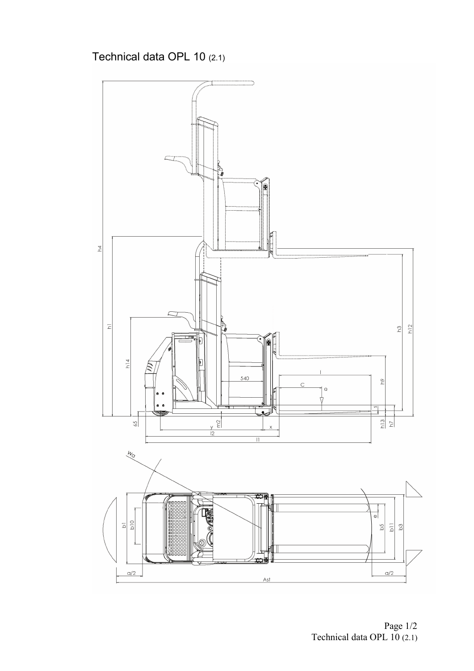## Technical data OPL 10 (2.1)



Technical data OPL 10 (2.1) Page 1/2